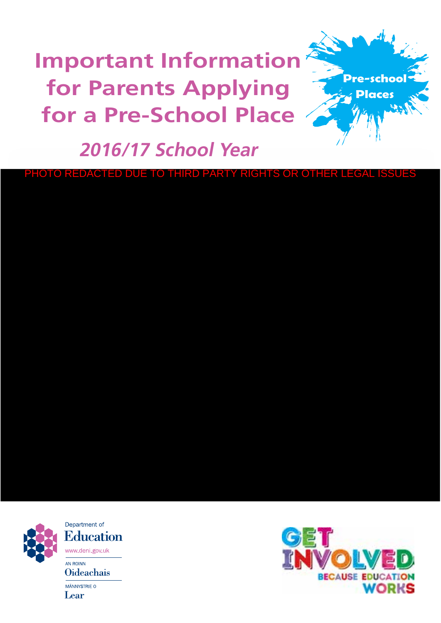**Important Information for Parents Applying for a Pre‑School Place**



# **2016/17 School Year**

PHOTO REDACTED DUE TO THIRD PARTY RIGHTS OR OTHER LEGAL IS



Department of **Education** www.deni.gov.uk AN ROINN **Oideachais** MÄNNYSTRIE O Lear

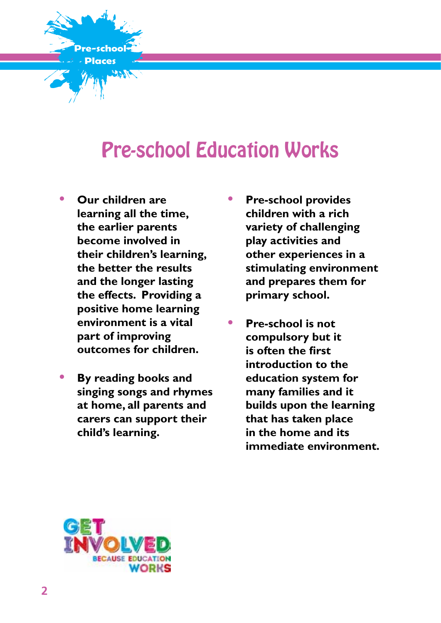

# Pre-school Education Works

- **• Our children are learning all the time, the earlier parents become involved in their children's learning, the better the results and the longer lasting the effects. Providing a positive home learning environment is a vital part of improving outcomes for children.**
- **• By reading books and singing songs and rhymes at home, all parents and carers can support their child's learning.**
- **• Pre-school provides children with a rich variety of challenging play activities and other experiences in a stimulating environment and prepares them for primary school.**
	- **• Pre-school is not compulsory but it is often the first introduction to the education system for many families and it builds upon the learning that has taken place in the home and its immediate environment.**

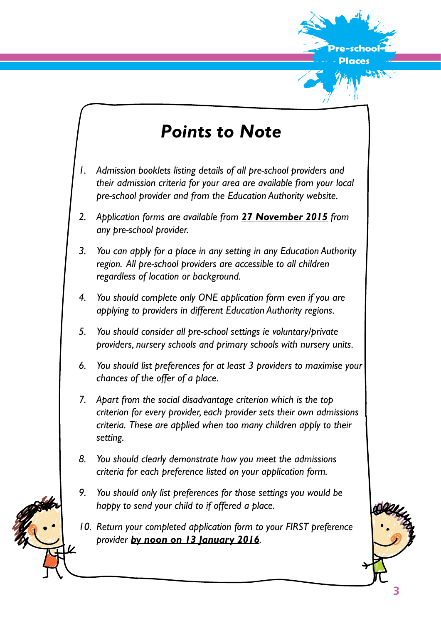

# *Points to Note*

- *1. Admission booklets listing details of all pre-school providers and their admission criteria for your area are available from your local pre-school provider and from the Education Authority website.*
- *2. Application forms are available from 27 November 2015 from any pre-school provider.*
- *3. You can apply for a place in any setting in any Education Authority region. All pre-school providers are accessible to all children regardless of location or background.*
- *4. You should complete only ONE application form even if you are applying to providers in different Education Authority regions.*
- *5. You should consider all pre-school settings ie voluntary/private providers, nursery schools and primary schools with nursery units.*
- *6. You should list preferences for at least 3 providers to maximise your chances of the offer of a place.*
- *7. Apart from the social disadvantage criterion which is the top criterion for every provider, each provider sets their own admissions criteria. These are applied when too many children apply to their setting.*
- *8. You should clearly demonstrate how you meet the admissions criteria for each preference listed on your application form.*
- *9. You should only list preferences for those settings you would be happy to send your child to if offered a place.*
- *10. Return your completed application form to your FIRST preference provider by noon on 13 January 2016.*

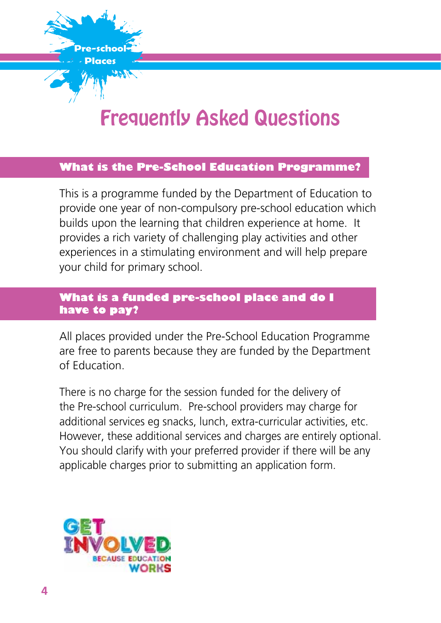

# Frequently Asked Questions

#### **What is the Pre-School Education Programme?**

This is a programme funded by the Department of Education to provide one year of non-compulsory pre-school education which builds upon the learning that children experience at home. It provides a rich variety of challenging play activities and other experiences in a stimulating environment and will help prepare your child for primary school.

# **What is a funded pre-school place and do I have to pay?**

All places provided under the Pre-School Education Programme are free to parents because they are funded by the Department of Education.

There is no charge for the session funded for the delivery of the Pre-school curriculum. Pre-school providers may charge for additional services eg snacks, lunch, extra-curricular activities, etc. However, these additional services and charges are entirely optional. You should clarify with your preferred provider if there will be any applicable charges prior to submitting an application form.

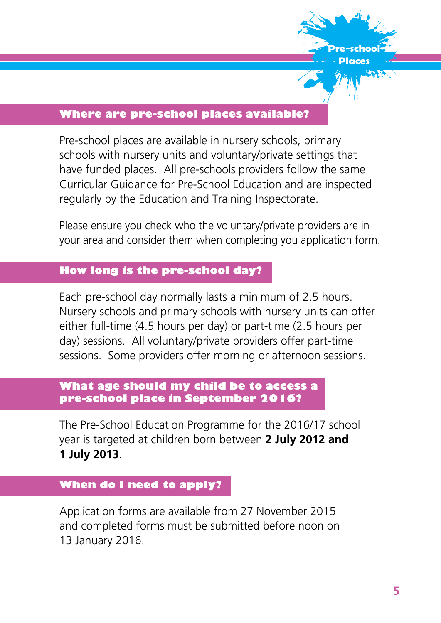

#### **Where are pre-school places available?**

Pre-school places are available in nursery schools, primary schools with nursery units and voluntary/private settings that have funded places. All pre-schools providers follow the same Curricular Guidance for Pre-School Education and are inspected regularly by the Education and Training Inspectorate.

Please ensure you check who the voluntary/private providers are in your area and consider them when completing you application form.

# **How long is the pre-school day?**

Each pre-school day normally lasts a minimum of 2.5 hours. Nursery schools and primary schools with nursery units can offer either full-time (4.5 hours per day) or part-time (2.5 hours per day) sessions. All voluntary/private providers offer part-time sessions. Some providers offer morning or afternoon sessions.

# **What age should my child be to access a pre-school place in September 2016?**

The Pre-School Education Programme for the 2016/17 school year is targeted at children born between **2 July 2012 and 1 July 2013**.

#### **When do I need to apply?**

Application forms are available from 27 November 2015 and completed forms must be submitted before noon on 13 January 2016.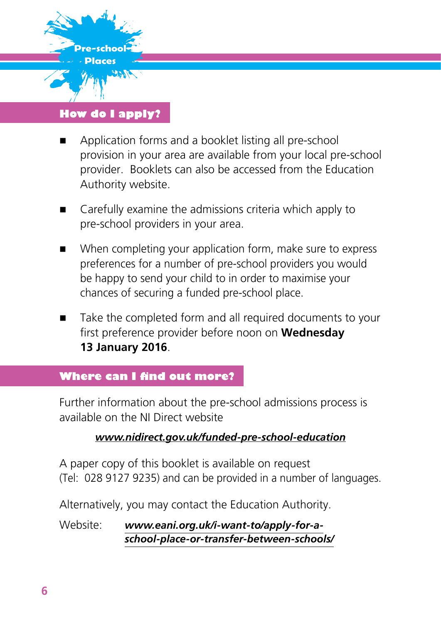

# **How do I apply?**

- Application forms and a booklet listing all pre-school provision in your area are available from your local pre-school provider. Booklets can also be accessed from the Education Authority website.
- Carefully examine the admissions criteria which apply to pre-school providers in your area.
- When completing your application form, make sure to express preferences for a number of pre-school providers you would be happy to send your child to in order to maximise your chances of securing a funded pre-school place.
- Take the completed form and all required documents to your first preference provider before noon on **Wednesday 13 January 2016**.

# **Where can I find out more?**

Further information about the pre-school admissions process is available on the NI Direct website

# *www.nidirect.gov.uk/funded-pre-school-education*

A paper copy of this booklet is available on request (Tel: 028 9127 9235) and can be provided in a number of languages.

Alternatively, you may contact the Education Authority.

Website: *www.eani.org.uk/i-want-to/apply-for-aschool-place-or-transfer-between-schools/*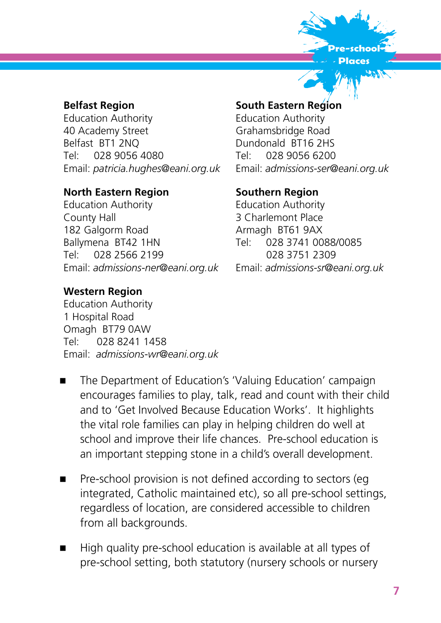

# **Belfast Region**

Education Authority 40 Academy Street Belfast BT1 2NQ Tel: 028 9056 4080 Email: *patricia.hughes@eani.org.uk*

#### **North Eastern Region**

Education Authority County Hall 182 Galgorm Road Ballymena BT42 1HN Tel: 028 2566 2199 Email: *admissions-ner@eani.org.uk*

#### **Western Region**

Education Authority 1 Hospital Road Omagh BT79 0AW Tel: 028 8241 1458 Email: *admissions-wr@eani.org.uk*

#### **South Eastern Region**

Education Authority Grahamsbridge Road Dundonald BT16 2HS Tel: 028 9056 6200 Email: *admissions-ser@eani.org.uk*

#### **Southern Region**

Education Authority 3 Charlemont Place Armagh BT61 9AX Tel: 028 3741 0088/0085 028 3751 2309 Email: *admissions-sr@eani.org.uk*

- The Department of Education's 'Valuing Education' campaign encourages families to play, talk, read and count with their child and to 'Get Involved Because Education Works'. It highlights the vital role families can play in helping children do well at school and improve their life chances. Pre-school education is an important stepping stone in a child's overall development.
- Pre-school provision is not defined according to sectors (eg integrated, Catholic maintained etc), so all pre-school settings, regardless of location, are considered accessible to children from all backgrounds.
- High quality pre-school education is available at all types of pre-school setting, both statutory (nursery schools or nursery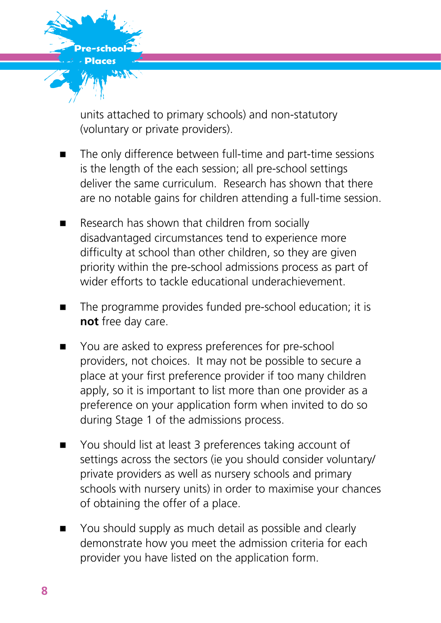

units attached to primary schools) and non-statutory (voluntary or private providers).

- The only difference between full-time and part-time sessions is the length of the each session; all pre-school settings deliver the same curriculum. Research has shown that there are no notable gains for children attending a full-time session.
- Research has shown that children from socially disadvantaged circumstances tend to experience more difficulty at school than other children, so they are given priority within the pre-school admissions process as part of wider efforts to tackle educational underachievement.
- The programme provides funded pre-school education; it is **not** free day care.
- You are asked to express preferences for pre-school providers, not choices. It may not be possible to secure a place at your first preference provider if too many children apply, so it is important to list more than one provider as a preference on your application form when invited to do so during Stage 1 of the admissions process.
- You should list at least 3 preferences taking account of settings across the sectors (ie you should consider voluntary/ private providers as well as nursery schools and primary schools with nursery units) in order to maximise your chances of obtaining the offer of a place.
- You should supply as much detail as possible and clearly demonstrate how you meet the admission criteria for each provider you have listed on the application form.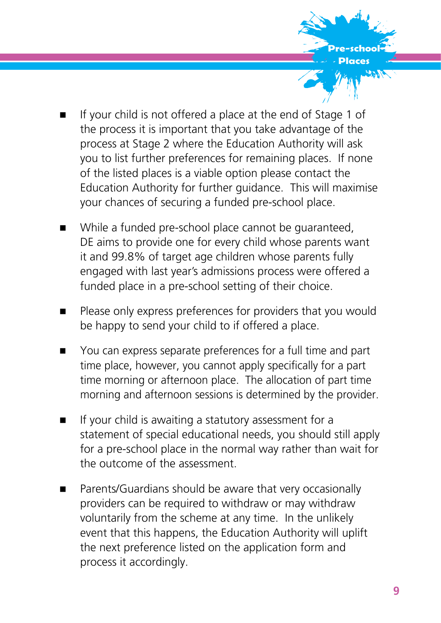

- If your child is not offered a place at the end of Stage 1 of the process it is important that you take advantage of the process at Stage 2 where the Education Authority will ask you to list further preferences for remaining places. If none of the listed places is a viable option please contact the Education Authority for further guidance. This will maximise your chances of securing a funded pre-school place.
- While a funded pre-school place cannot be guaranteed, DE aims to provide one for every child whose parents want it and 99.8% of target age children whose parents fully engaged with last year's admissions process were offered a funded place in a pre-school setting of their choice.
- Please only express preferences for providers that you would be happy to send your child to if offered a place.
- You can express separate preferences for a full time and part time place, however, you cannot apply specifically for a part time morning or afternoon place. The allocation of part time morning and afternoon sessions is determined by the provider.
- $\blacksquare$  If your child is awaiting a statutory assessment for a statement of special educational needs, you should still apply for a pre-school place in the normal way rather than wait for the outcome of the assessment.
- Parents/Guardians should be aware that very occasionally providers can be required to withdraw or may withdraw voluntarily from the scheme at any time. In the unlikely event that this happens, the Education Authority will uplift the next preference listed on the application form and process it accordingly.